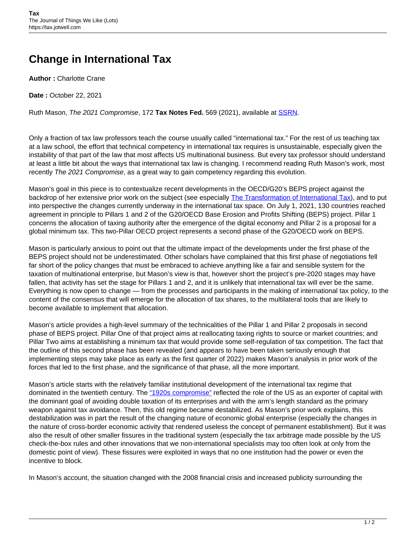## **Change in International Tax**

**Author :** Charlotte Crane

**Date :** October 22, 2021

Ruth Mason, The 2021 Compromise, 172 **Tax Notes Fed.** 569 (2021), available at [SSRN.](https://papers.ssrn.com/sol3/papers.cfm?abstract_id=3904054)

Only a fraction of tax law professors teach the course usually called "international tax." For the rest of us teaching tax at a law school, the effort that technical competency in international tax requires is unsustainable, especially given the instability of that part of the law that most affects US multinational business. But every tax professor should understand at least a little bit about the ways that international tax law is changing. I recommend reading Ruth Mason's work, most recently The 2021 Compromise, as a great way to gain competency regarding this evolution.

Mason's goal in this piece is to contextualize recent developments in the OECD/G20's BEPS project against the backdrop of her extensive prior work on the subject (see especially [The Transformation of International Tax](https://www.cambridge.org/core/journals/american-journal-of-international-law/article/transformation-of-international-tax/A335E9177D1C7A692362066205689D1B)), and to put into perspective the changes currently underway in the international tax space. On July 1, 2021, 130 countries reached agreement in principle to Pillars 1 and 2 of the G20/OECD Base Erosion and Profits Shifting (BEPS) project. Pillar 1 concerns the allocation of taxing authority after the emergence of the digital economy and Pillar 2 is a proposal for a global minimum tax. This two-Pillar OECD project represents a second phase of the G20/OECD work on BEPS.

Mason is particularly anxious to point out that the ultimate impact of the developments under the first phase of the BEPS project should not be underestimated. Other scholars have complained that this first phase of negotiations fell far short of the policy changes that must be embraced to achieve anything like a fair and sensible system for the taxation of multinational enterprise, but Mason's view is that, however short the project's pre-2020 stages may have fallen, that activity has set the stage for Pillars 1 and 2, and it is unlikely that international tax will ever be the same. Everything is now open to change — from the processes and participants in the making of international tax policy, to the content of the consensus that will emerge for the allocation of tax shares, to the multilateral tools that are likely to become available to implement that allocation.

Mason's article provides a high-level summary of the technicalities of the Pillar 1 and Pillar 2 proposals in second phase of BEPS project. Pillar One of that project aims at reallocating taxing rights to source or market countries; and Pillar Two aims at establishing a minimum tax that would provide some self-regulation of tax competition. The fact that the outline of this second phase has been revealed (and appears to have been taken seriously enough that implementing steps may take place as early as the first quarter of 2022) makes Mason's analysis in prior work of the forces that led to the first phase, and the significance of that phase, all the more important.

Mason's article starts with the relatively familiar institutional development of the international tax regime that dominated in the twentieth century. The ["1920s compromise"](mailto:https://scholarship.law.duke.edu/dlj/vol46/iss5/2/) reflected the role of the US as an exporter of capital with the dominant goal of avoiding double taxation of its enterprises and with the arm's length standard as the primary weapon against tax avoidance. Then, this old regime became destabilized. As Mason's prior work explains, this destabilization was in part the result of the changing nature of economic global enterprise (especially the changes in the nature of cross-border economic activity that rendered useless the concept of permanent establishment). But it was also the result of other smaller fissures in the traditional system (especially the tax arbitrage made possible by the US check-the-box rules and other innovations that we non-international specialists may too often look at only from the domestic point of view). These fissures were exploited in ways that no one institution had the power or even the incentive to block.

In Mason's account, the situation changed with the 2008 financial crisis and increased publicity surrounding the